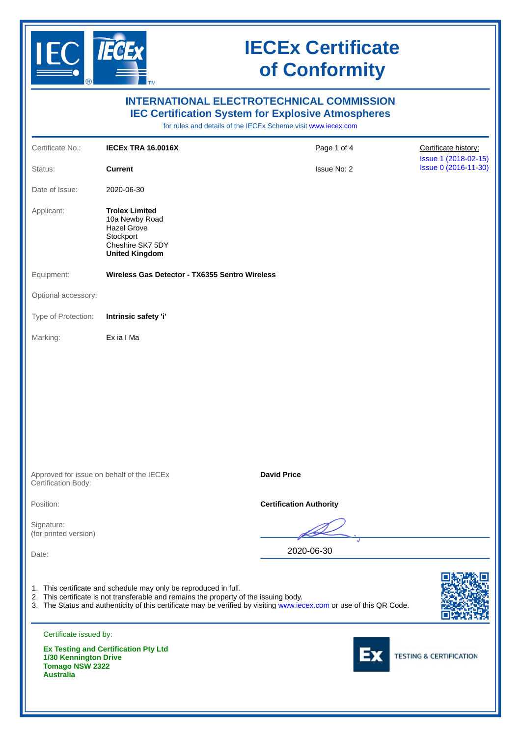

|                                                                     |                                                                                                                                                           | <b>INTERNATIONAL ELECTROTECHNICAL COMMISSION</b><br><b>IEC Certification System for Explosive Atmospheres</b><br>for rules and details of the IECEx Scheme visit www.iecex.com |                                              |
|---------------------------------------------------------------------|-----------------------------------------------------------------------------------------------------------------------------------------------------------|--------------------------------------------------------------------------------------------------------------------------------------------------------------------------------|----------------------------------------------|
| Certificate No.:                                                    | <b>IECEX TRA 16.0016X</b>                                                                                                                                 | Page 1 of 4                                                                                                                                                                    | Certificate history:                         |
| Status:                                                             | <b>Current</b>                                                                                                                                            | <b>Issue No: 2</b>                                                                                                                                                             | Issue 1 (2018-02-15)<br>Issue 0 (2016-11-30) |
| Date of Issue:                                                      | 2020-06-30                                                                                                                                                |                                                                                                                                                                                |                                              |
| Applicant:                                                          | <b>Trolex Limited</b><br>10a Newby Road<br><b>Hazel Grove</b><br>Stockport<br>Cheshire SK7 5DY<br><b>United Kingdom</b>                                   |                                                                                                                                                                                |                                              |
| Equipment:                                                          | Wireless Gas Detector - TX6355 Sentro Wireless                                                                                                            |                                                                                                                                                                                |                                              |
| Optional accessory:                                                 |                                                                                                                                                           |                                                                                                                                                                                |                                              |
| Type of Protection:                                                 | Intrinsic safety 'i'                                                                                                                                      |                                                                                                                                                                                |                                              |
| Marking:                                                            | Ex ia I Ma                                                                                                                                                |                                                                                                                                                                                |                                              |
| Certification Body:                                                 | Approved for issue on behalf of the IECEx                                                                                                                 | <b>David Price</b>                                                                                                                                                             |                                              |
| Position:                                                           |                                                                                                                                                           | <b>Certification Authority</b>                                                                                                                                                 |                                              |
| Signature:<br>(for printed version)                                 |                                                                                                                                                           |                                                                                                                                                                                |                                              |
| Date:                                                               |                                                                                                                                                           | 2020-06-30                                                                                                                                                                     |                                              |
|                                                                     | 1. This certificate and schedule may only be reproduced in full.<br>2. This certificate is not transferable and remains the property of the issuing body. | 3. The Status and authenticity of this certificate may be verified by visiting www.iecex.com or use of this QR Code.                                                           |                                              |
| Certificate issued by:                                              |                                                                                                                                                           |                                                                                                                                                                                |                                              |
| 1/30 Kennington Drive<br><b>Tomago NSW 2322</b><br><b>Australia</b> | <b>Ex Testing and Certification Pty Ltd</b>                                                                                                               |                                                                                                                                                                                | <b>TESTING &amp; CERTIFICATION</b>           |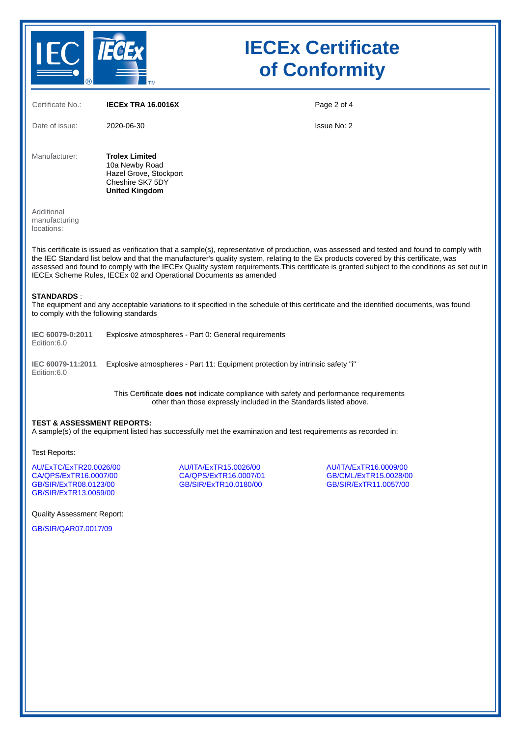

| Certificate No.:                                                                                                                                                                                                                                                                                                                                                                                                                                                                                         | <b>IECEX TRA 16.0016X</b>                                                                                      |                                                                         | Page 2 of 4                                                             |  |  |  |
|----------------------------------------------------------------------------------------------------------------------------------------------------------------------------------------------------------------------------------------------------------------------------------------------------------------------------------------------------------------------------------------------------------------------------------------------------------------------------------------------------------|----------------------------------------------------------------------------------------------------------------|-------------------------------------------------------------------------|-------------------------------------------------------------------------|--|--|--|
| Date of issue:                                                                                                                                                                                                                                                                                                                                                                                                                                                                                           | 2020-06-30                                                                                                     |                                                                         | Issue No: 2                                                             |  |  |  |
| Manufacturer:                                                                                                                                                                                                                                                                                                                                                                                                                                                                                            | <b>Trolex Limited</b><br>10a Newby Road<br>Hazel Grove, Stockport<br>Cheshire SK7 5DY<br><b>United Kingdom</b> |                                                                         |                                                                         |  |  |  |
| Additional<br>manufacturing<br>locations:                                                                                                                                                                                                                                                                                                                                                                                                                                                                |                                                                                                                |                                                                         |                                                                         |  |  |  |
| This certificate is issued as verification that a sample(s), representative of production, was assessed and tested and found to comply with<br>the IEC Standard list below and that the manufacturer's quality system, relating to the Ex products covered by this certificate, was<br>assessed and found to comply with the IECEx Quality system requirements. This certificate is granted subject to the conditions as set out in<br>IECEx Scheme Rules, IECEx 02 and Operational Documents as amended |                                                                                                                |                                                                         |                                                                         |  |  |  |
| <b>STANDARDS</b><br>The equipment and any acceptable variations to it specified in the schedule of this certificate and the identified documents, was found<br>to comply with the following standards                                                                                                                                                                                                                                                                                                    |                                                                                                                |                                                                         |                                                                         |  |  |  |
| IEC 60079-0:2011<br>Edition:6.0                                                                                                                                                                                                                                                                                                                                                                                                                                                                          | Explosive atmospheres - Part 0: General requirements                                                           |                                                                         |                                                                         |  |  |  |
| IEC 60079-11:2011<br>Edition:6.0                                                                                                                                                                                                                                                                                                                                                                                                                                                                         | Explosive atmospheres - Part 11: Equipment protection by intrinsic safety "i"                                  |                                                                         |                                                                         |  |  |  |
| This Certificate does not indicate compliance with safety and performance requirements<br>other than those expressly included in the Standards listed above.                                                                                                                                                                                                                                                                                                                                             |                                                                                                                |                                                                         |                                                                         |  |  |  |
| <b>TEST &amp; ASSESSMENT REPORTS:</b><br>A sample(s) of the equipment listed has successfully met the examination and test requirements as recorded in:                                                                                                                                                                                                                                                                                                                                                  |                                                                                                                |                                                                         |                                                                         |  |  |  |
| Test Reports:                                                                                                                                                                                                                                                                                                                                                                                                                                                                                            |                                                                                                                |                                                                         |                                                                         |  |  |  |
| AU/ExTC/ExTR20.0026/00<br>CA/QPS/ExTR16.0007/00<br>GB/SIR/ExTR08.0123/00<br>GB/SIR/ExTR13.0059/00                                                                                                                                                                                                                                                                                                                                                                                                        |                                                                                                                | AU/ITA/ExTR15.0026/00<br>CA/OPS/ExTR16.0007/01<br>GB/SIR/ExTR10.0180/00 | AU/ITA/ExTR16.0009/00<br>GB/CML/ExTR15.0028/00<br>GB/SIR/ExTR11,0057/00 |  |  |  |
| <b>Ouality Assessment Report:</b>                                                                                                                                                                                                                                                                                                                                                                                                                                                                        |                                                                                                                |                                                                         |                                                                         |  |  |  |

GB/SIR/QAR07.0017/09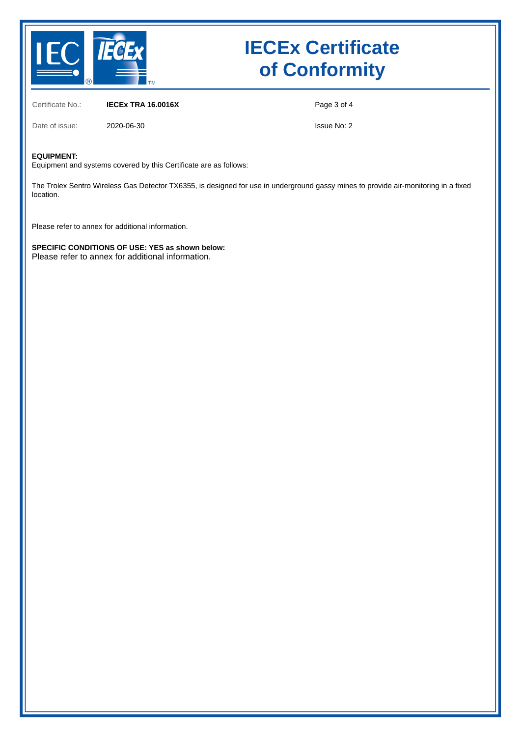

Certificate No.: **IECEx TRA 16.0016X**

Page 3 of 4

Date of issue: 2020-06-30

Issue No: 2

#### **EQUIPMENT:**

Equipment and systems covered by this Certificate are as follows:

The Trolex Sentro Wireless Gas Detector TX6355, is designed for use in underground gassy mines to provide air-monitoring in a fixed location.

Please refer to annex for additional information.

**SPECIFIC CONDITIONS OF USE: YES as shown below:** Please refer to annex for additional information.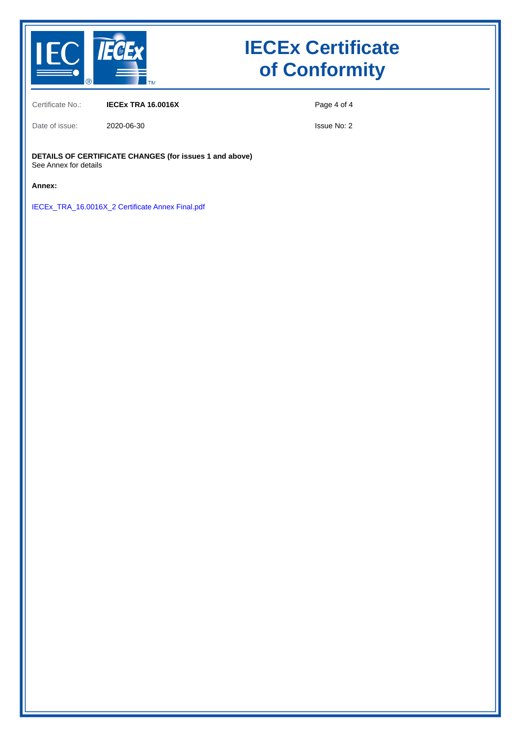

Certificate No.: **IECEx TRA 16.0016X**

Date of issue: 2020-06-30

Page 4 of 4

Issue No: 2

**DETAILS OF CERTIFICATE CHANGES (for issues 1 and above)** See Annex for details

**Annex:**

IECEx\_TRA\_16.0016X\_2 Certificate Annex Final.pdf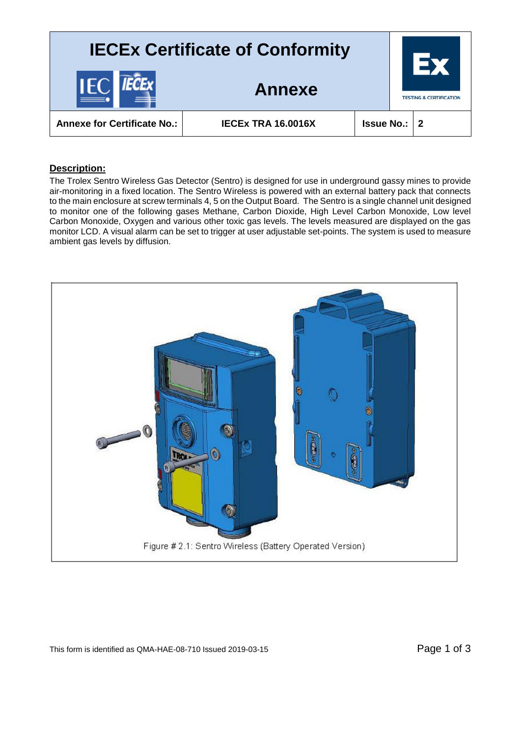

### **Description:**

The Trolex Sentro Wireless Gas Detector (Sentro) is designed for use in underground gassy mines to provide air-monitoring in a fixed location. The Sentro Wireless is powered with an external battery pack that connects to the main enclosure at screw terminals 4, 5 on the Output Board. The Sentro is a single channel unit designed to monitor one of the following gases Methane, Carbon Dioxide, High Level Carbon Monoxide, Low level Carbon Monoxide, Oxygen and various other toxic gas levels. The levels measured are displayed on the gas monitor LCD. A visual alarm can be set to trigger at user adjustable set-points. The system is used to measure ambient gas levels by diffusion.

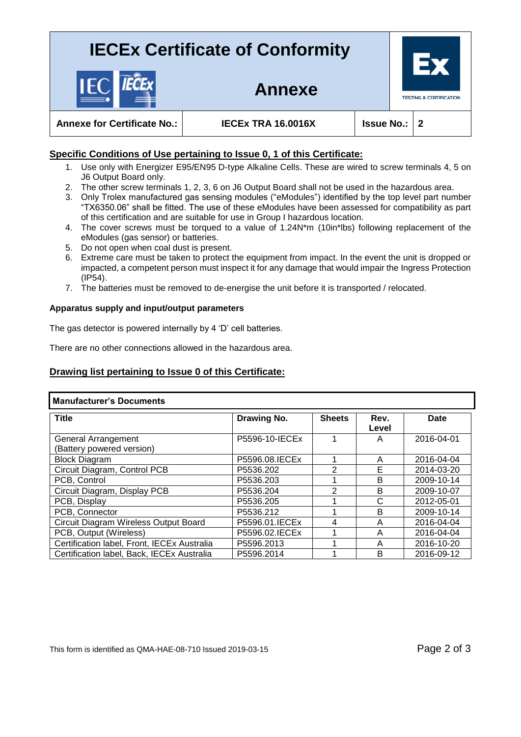**Annexe**



**Annexe for Certificate No.: IECEx TRA 16.0016X Issue No.: 2**

### **Specific Conditions of Use pertaining to Issue 0, 1 of this Certificate:**

- 1. Use only with Energizer E95/EN95 D-type Alkaline Cells. These are wired to screw terminals 4, 5 on J6 Output Board only.
- 2. The other screw terminals 1, 2, 3, 6 on J6 Output Board shall not be used in the hazardous area.
- 3. Only Trolex manufactured gas sensing modules ("eModules") identified by the top level part number "TX6350.06" shall be fitted. The use of these eModules have been assessed for compatibility as part of this certification and are suitable for use in Group I hazardous location.
- 4. The cover screws must be torqued to a value of 1.24N\*m (10in\*lbs) following replacement of the eModules (gas sensor) or batteries.
- 5. Do not open when coal dust is present.
- 6. Extreme care must be taken to protect the equipment from impact. In the event the unit is dropped or impacted, a competent person must inspect it for any damage that would impair the Ingress Protection (IP54).
- 7. The batteries must be removed to de-energise the unit before it is transported / relocated.

#### **Apparatus supply and input/output parameters**

The gas detector is powered internally by 4 'D' cell batteries.

There are no other connections allowed in the hazardous area.

### **Drawing list pertaining to Issue 0 of this Certificate:**

| <b>Manufacturer's Documents</b>                  |                 |               |               |            |  |  |
|--------------------------------------------------|-----------------|---------------|---------------|------------|--|--|
| <b>Title</b>                                     | Drawing No.     | <b>Sheets</b> | Rev.<br>Level | Date       |  |  |
| General Arrangement<br>(Battery powered version) | P5596-10-IECEx  |               | A             | 2016-04-01 |  |  |
| <b>Block Diagram</b>                             | P5596.08. IECEx |               | A             | 2016-04-04 |  |  |
| Circuit Diagram, Control PCB                     | P5536.202       | 2             | Е             | 2014-03-20 |  |  |
| PCB, Control                                     | P5536.203       | 4             | B             | 2009-10-14 |  |  |
| Circuit Diagram, Display PCB                     | P5536.204       | 2             | B             | 2009-10-07 |  |  |
| PCB, Display                                     | P5536.205       |               | C             | 2012-05-01 |  |  |
| PCB, Connector                                   | P5536.212       | ◢             | B             | 2009-10-14 |  |  |
| Circuit Diagram Wireless Output Board            | P5596.01. IECEx | 4             | A             | 2016-04-04 |  |  |
| PCB, Output (Wireless)                           | P5596.02.IECEx  |               | A             | 2016-04-04 |  |  |
| Certification label, Front, IECEx Australia      | P5596.2013      |               | A             | 2016-10-20 |  |  |
| Certification label, Back, IECEx Australia       | P5596.2014      |               | B             | 2016-09-12 |  |  |